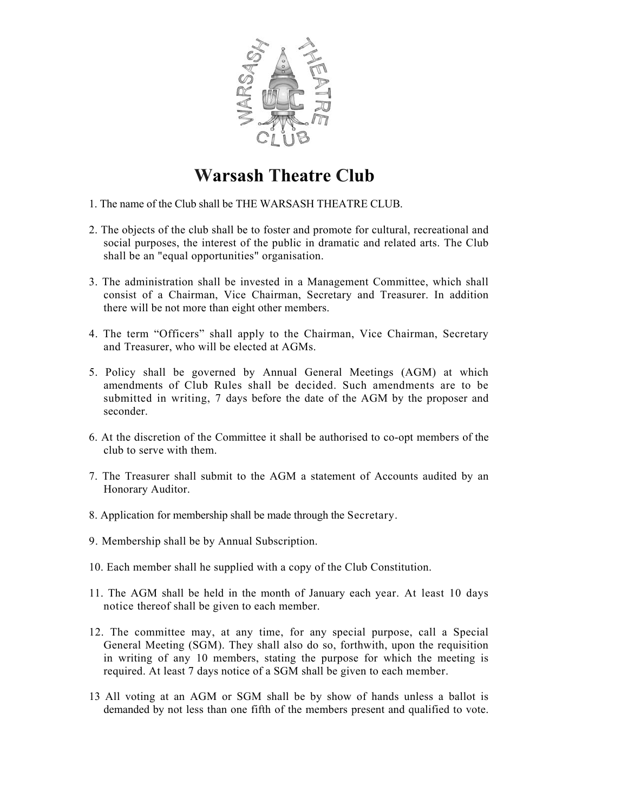

## **Warsash Theatre Club**

- 1. The name of the Club shall be THE WARSASH THEATRE CLUB.
- 2. The objects of the club shall be to foster and promote for cultural, recreational and social purposes, the interest of the public in dramatic and related arts. The Club shall be an "equal opportunities" organisation.
- 3. The administration shall be invested in a Management Committee, which shall consist of a Chairman, Vice Chairman, Secretary and Treasurer. In addition there will be not more than eight other members.
- 4. The term "Officers" shall apply to the Chairman, Vice Chairman, Secretary and Treasurer, who will be elected at AGMs.
- 5. Policy shall be governed by Annual General Meetings (AGM) at which amendments of Club Rules shall be decided. Such amendments are to be submitted in writing, 7 days before the date of the AGM by the proposer and seconder.
- 6. At the discretion of the Committee it shall be authorised to co-opt members of the club to serve with them.
- 7. The Treasurer shall submit to the AGM a statement of Accounts audited by an Honorary Auditor.
- 8. Application for membership shall be made through the Secretary.
- 9. Membership shall be by Annual Subscription.
- 10. Each member shall he supplied with a copy of the Club Constitution.
- 11. The AGM shall be held in the month of January each year. At least 10 days notice thereof shall be given to each member.
- 12. The committee may, at any time, for any special purpose, call a Special General Meeting (SGM). They shall also do so, forthwith, upon the requisition in writing of any 10 members, stating the purpose for which the meeting is required. At least 7 days notice of a SGM shall be given to each member.
- 13 All voting at an AGM or SGM shall be by show of hands unless a ballot is demanded by not less than one fifth of the members present and qualified to vote.